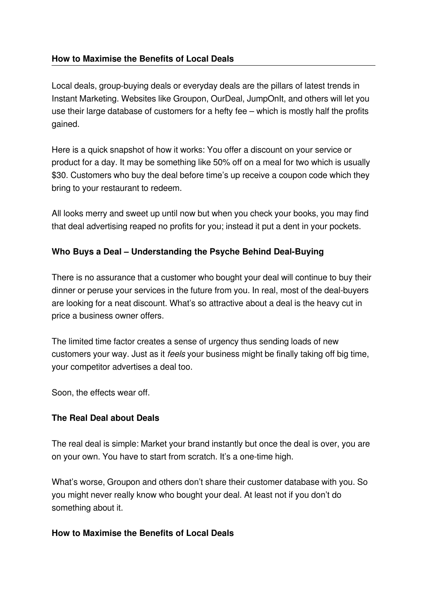## **How to Maximise the Benefits of Local Deals**

Local deals, group-buying deals or everyday deals are the pillars of latest trends in Instant Marketing. Websites like Groupon, OurDeal, JumpOnIt, and others will let you use their large database of customers for a hefty fee – which is mostly half the profits gained.

Here is a quick snapshot of how it works: You offer a discount on your service or product for a day. It may be something like 50% off on a meal for two which is usually \$30. Customers who buy the deal before time's up receive a coupon code which they bring to your restaurant to redeem.

All looks merry and sweet up until now but when you check your books, you may find that deal advertising reaped no profits for you; instead it put a dent in your pockets.

## Who Buys a Deal – Understanding the Psyche Behind Deal-Buying

There is no assurance that a customer who bought your deal will continue to buy their dinner or peruse your services in the future from you. In real, most of the deal-buyers are looking for a neat discount. What's so attractive about a deal is the heavy cut in price a business owner offers.

The limited time factor creates a sense of urgency thus sending loads of new customers your way. Just as it *feels* your business might be finally taking off big time, your competitor advertises a deal too.

Soon, the effects wear off.

## **The Real Deal about Deals**

The real deal is simple: Market your brand instantly but once the deal is over, you are on your own. You have to start from scratch. It's a one-time high.

What's worse, Groupon and others don't share their customer database with you. So you might never really know who bought your deal. At least not if you don't do something about it.

## **How to Maximise the Benefits of Local Deals**